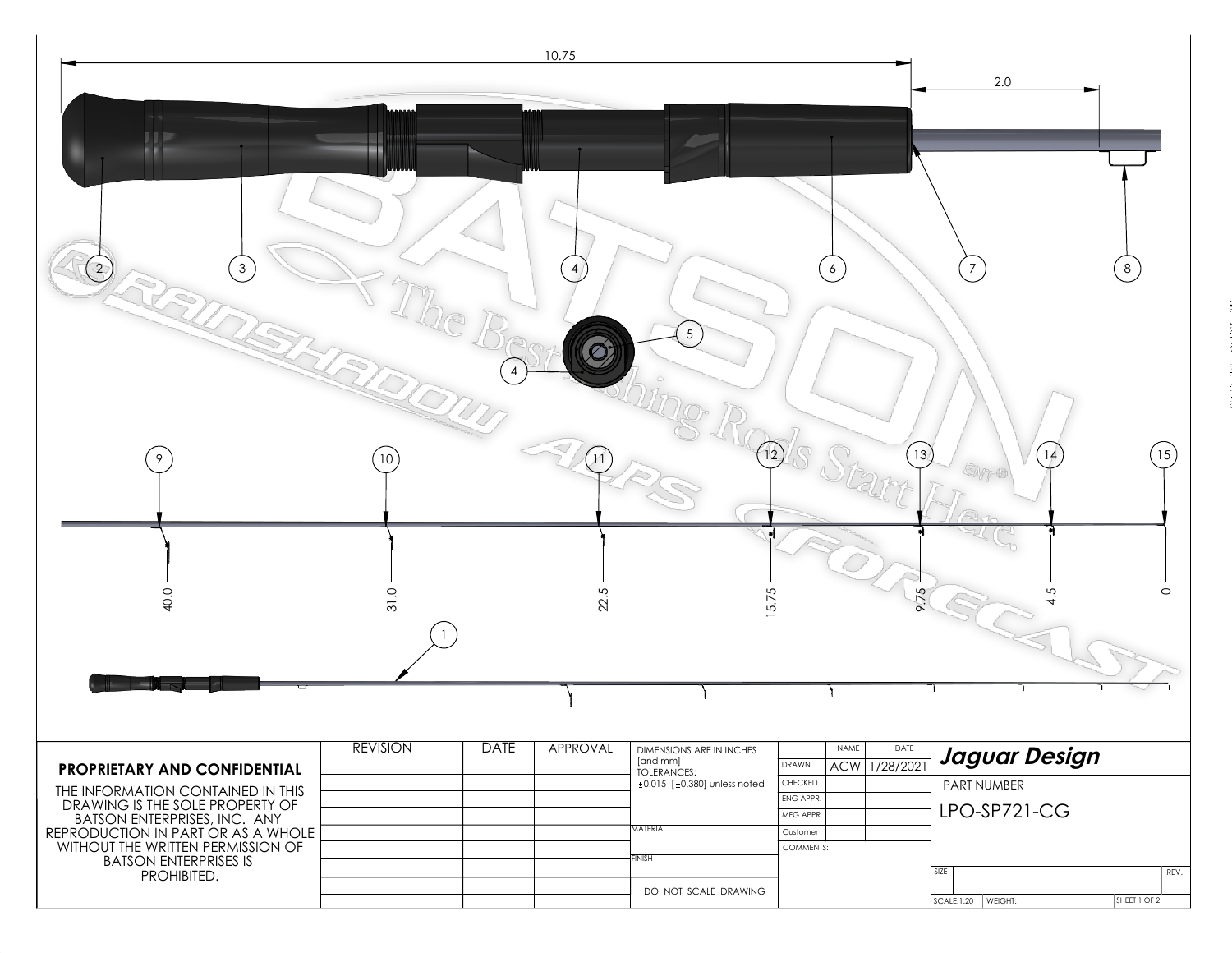